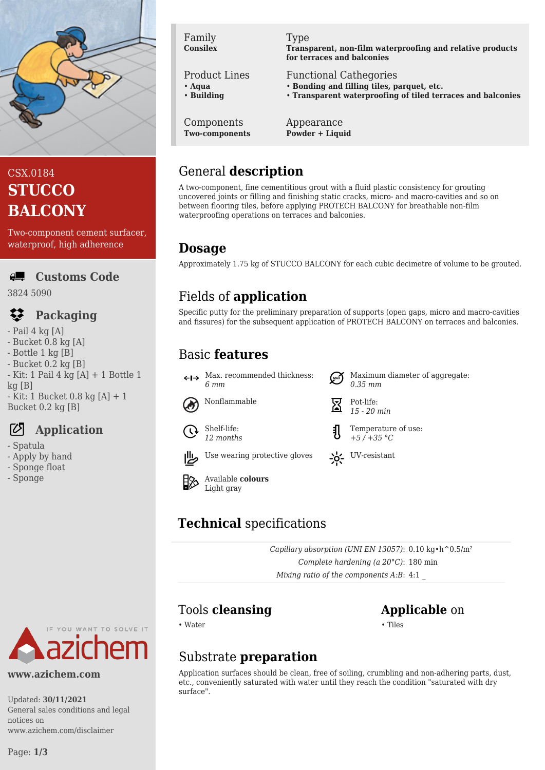

# CSX.0184 **STUCCO BALCONY**

Two-component cement surfacer, waterproof, high adherence

#### **Customs Code ALL**

3824 5090

# **Packaging**

- $-$  Pail 4 kg [A]
- Bucket 0.8 kg [A]
- Bottle 1 kg [B]
- Bucket 0.2 kg [B]  $-$  Kit: 1 Pail 4 kg [A]  $+$  1 Bottle 1
- $kq$  [B]
- Kit: 1 Bucket 0.8 kg [A] + 1 Bucket 0.2 kg [B]

# **Application**

- Spatula
- Apply by hand
- Sponge float
- Sponge

#### Family **Consilex**

## Product Lines

- **Aqua**
- **Building**

#### Type

**Transparent, non-film waterproofing and relative products for terraces and balconies**

## Functional Cathegories

- **Bonding and filling tiles, parquet, etc.**
- **Transparent waterproofing of tiled terraces and balconies**

Components **Two-components**

#### Appearance **Powder + Liquid**

## General **description**

A two-component, fine cementitious grout with a fluid plastic consistency for grouting uncovered joints or filling and finishing static cracks, micro- and macro-cavities and so on between flooring tiles, before applying PROTECH BALCONY for breathable non-film waterproofing operations on terraces and balconies.

## **Dosage**

Approximately 1.75 kg of STUCCO BALCONY for each cubic decimetre of volume to be grouted.

# Fields of **application**

Specific putty for the preliminary preparation of supports (open gaps, micro and macro-cavities and fissures) for the subsequent application of PROTECH BALCONY on terraces and balconies.

*0.35 mm*

*15 - 20 min*

Temperature of use: *+5 / +35 °C*

# Basic **features**

Max. recommended thickness: *6 mm*



Nonflammable  $\overline{\nabla}$  Pot-life:



Shelf-life: *12 months*



Use wearing protective gloves  $\sum_{i=1}^{N}$  UV-resistant





# **Technical** specifications

*Capillary absorption (UNI EN 13057)*: 0.10 kg•h^0.5/m² *Complete hardening (a 20°C)*: 180 min *Mixing ratio of the components A:B*: 4:1 \_

# Tools **cleansing Applicable** on

• Water • Tiles

Maximum diameter of aggregate:

# Substrate **preparation**

Application surfaces should be clean, free of soiling, crumbling and non-adhering parts, dust, etc., conveniently saturated with water until they reach the condition "saturated with dry surface".



#### **www.azichem.com**

Updated: **30/11/2021** General sales conditions and legal notices on www.azichem.com/disclaimer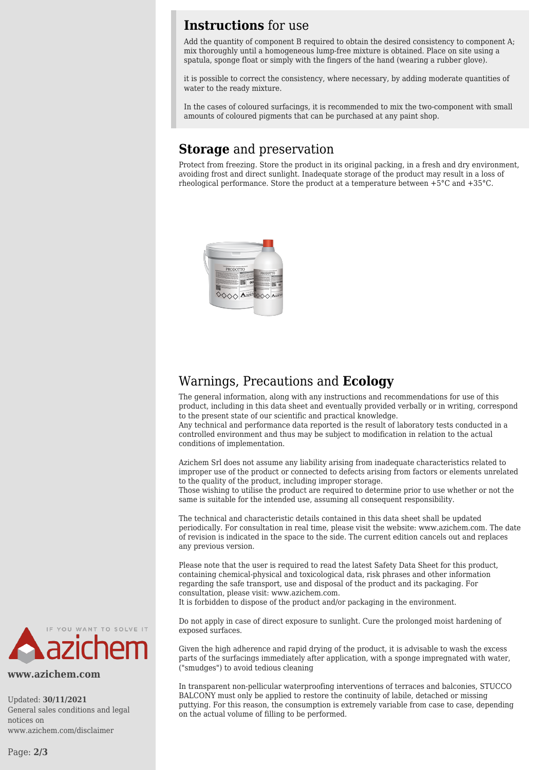## **Instructions** for use

Add the quantity of component B required to obtain the desired consistency to component A; mix thoroughly until a homogeneous lump-free mixture is obtained. Place on site using a spatula, sponge float or simply with the fingers of the hand (wearing a rubber glove).

it is possible to correct the consistency, where necessary, by adding moderate quantities of water to the ready mixture.

In the cases of coloured surfacings, it is recommended to mix the two-component with small amounts of coloured pigments that can be purchased at any paint shop.

## **Storage** and preservation

Protect from freezing. Store the product in its original packing, in a fresh and dry environment. avoiding frost and direct sunlight. Inadequate storage of the product may result in a loss of rheological performance. Store the product at a temperature between +5°C and +35°C.



## Warnings, Precautions and **Ecology**

The general information, along with any instructions and recommendations for use of this product, including in this data sheet and eventually provided verbally or in writing, correspond to the present state of our scientific and practical knowledge.

Any technical and performance data reported is the result of laboratory tests conducted in a controlled environment and thus may be subject to modification in relation to the actual conditions of implementation.

Azichem Srl does not assume any liability arising from inadequate characteristics related to improper use of the product or connected to defects arising from factors or elements unrelated to the quality of the product, including improper storage.

Those wishing to utilise the product are required to determine prior to use whether or not the same is suitable for the intended use, assuming all consequent responsibility.

The technical and characteristic details contained in this data sheet shall be updated periodically. For consultation in real time, please visit the website: www.azichem.com. The date of revision is indicated in the space to the side. The current edition cancels out and replaces any previous version.

Please note that the user is required to read the latest Safety Data Sheet for this product, containing chemical-physical and toxicological data, risk phrases and other information regarding the safe transport, use and disposal of the product and its packaging. For consultation, please visit: www.azichem.com. It is forbidden to dispose of the product and/or packaging in the environment.

Do not apply in case of direct exposure to sunlight. Cure the prolonged moist hardening of exposed surfaces.

Given the high adherence and rapid drying of the product, it is advisable to wash the excess parts of the surfacings immediately after application, with a sponge impregnated with water, ("smudges") to avoid tedious cleaning

In transparent non-pellicular waterproofing interventions of terraces and balconies, STUCCO BALCONY must only be applied to restore the continuity of labile, detached or missing puttying. For this reason, the consumption is extremely variable from case to case, depending on the actual volume of filling to be performed.



**www.azichem.com**

Updated: **30/11/2021** General sales conditions and legal notices on www.azichem.com/disclaimer